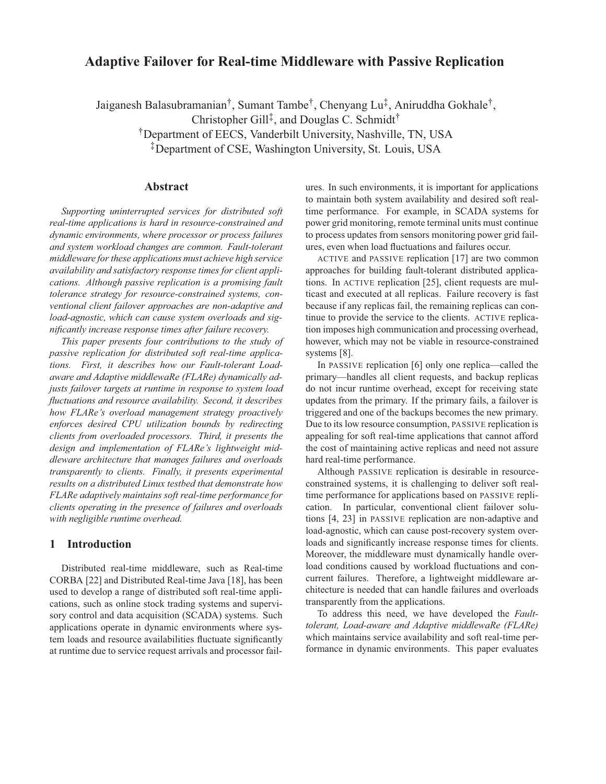# **Adaptive Failover for Real-time Middleware with Passive Replication**

Jaiganesh Balasubramanian†, Sumant Tambe†, Chenyang Lu‡, Aniruddha Gokhale†,

Christopher Gill‡, and Douglas C. Schmidt†

†Department of EECS, Vanderbilt University, Nashville, TN, USA

‡Department of CSE, Washington University, St. Louis, USA

### **Abstract**

*Supporting uninterrupted services for distributed soft real-time applications is hard in resource-constrained and dynamic environments, where processor or process failures and system workload changes are common. Fault-tolerant middleware for these applications must achieve high service availability and satisfactory response times for client applications. Although passive replication is a promising fault tolerance strategy for resource-constrained systems, conventional client failover approaches are non-adaptive and load-agnostic, which can cause system overloads and significantly increase response times after failure recovery.*

*This paper presents four contributions to the study of passive replication for distributed soft real-time applications. First, it describes how our Fault-tolerant Loadaware and Adaptive middlewaRe (FLARe) dynamically adjusts failover targets at runtime in response to system load fluctuations and resource availability. Second, it describes how FLARe's overload management strategy proactively enforces desired CPU utilization bounds by redirecting clients from overloaded processors. Third, it presents the design and implementation of FLARe's lightweight middleware architecture that manages failures and overloads transparently to clients. Finally, it presents experimental results on a distributed Linux testbed that demonstrate how FLARe adaptively maintains soft real-time performance for clients operating in the presence of failures and overloads with negligible runtime overhead.*

# **1 Introduction**

Distributed real-time middleware, such as Real-time CORBA [22] and Distributed Real-time Java [18], has been used to develop a range of distributed soft real-time applications, such as online stock trading systems and supervisory control and data acquisition (SCADA) systems. Such applications operate in dynamic environments where system loads and resource availabilities fluctuate significantly at runtime due to service request arrivals and processor failures. In such environments, it is important for applications to maintain both system availability and desired soft realtime performance. For example, in SCADA systems for power grid monitoring, remote terminal units must continue to process updates from sensors monitoring power grid failures, even when load fluctuations and failures occur.

ACTIVE and PASSIVE replication [17] are two common approaches for building fault-tolerant distributed applications. In ACTIVE replication [25], client requests are multicast and executed at all replicas. Failure recovery is fast because if any replicas fail, the remaining replicas can continue to provide the service to the clients. ACTIVE replication imposes high communication and processing overhead, however, which may not be viable in resource-constrained systems [8].

In PASSIVE replication [6] only one replica—called the primary—handles all client requests, and backup replicas do not incur runtime overhead, except for receiving state updates from the primary. If the primary fails, a failover is triggered and one of the backups becomes the new primary. Due to its low resource consumption, PASSIVE replication is appealing for soft real-time applications that cannot afford the cost of maintaining active replicas and need not assure hard real-time performance.

Although PASSIVE replication is desirable in resourceconstrained systems, it is challenging to deliver soft realtime performance for applications based on PASSIVE replication. In particular, conventional client failover solutions [4, 23] in PASSIVE replication are non-adaptive and load-agnostic, which can cause post-recovery system overloads and significantly increase response times for clients. Moreover, the middleware must dynamically handle overload conditions caused by workload fluctuations and concurrent failures. Therefore, a lightweight middleware architecture is needed that can handle failures and overloads transparently from the applications.

To address this need, we have developed the *Faulttolerant, Load-aware and Adaptive middlewaRe (FLARe)* which maintains service availability and soft real-time performance in dynamic environments. This paper evaluates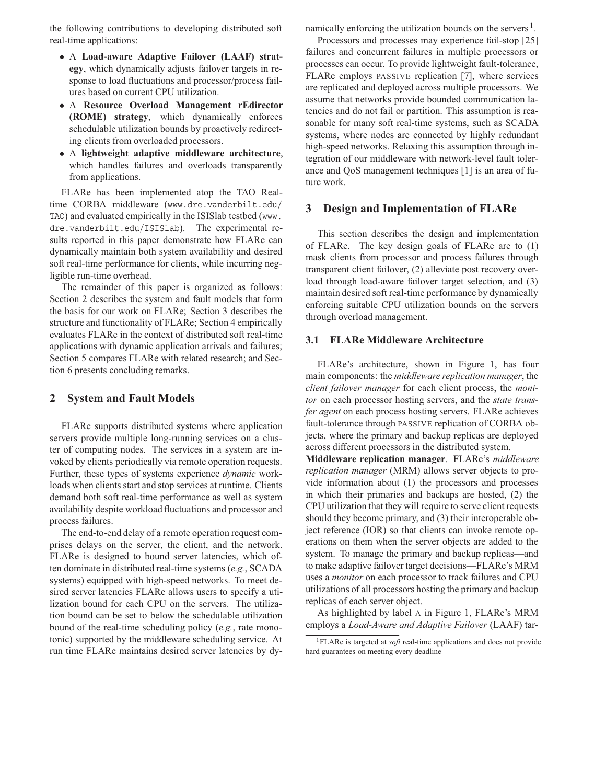the following contributions to developing distributed soft real-time applications:

- A **Load-aware Adaptive Failover (LAAF) strategy**, which dynamically adjusts failover targets in response to load fluctuations and processor/process failures based on current CPU utilization.
- A **Resource Overload Management rEdirector (ROME) strategy**, which dynamically enforces schedulable utilization bounds by proactively redirecting clients from overloaded processors.
- A **lightweight adaptive middleware architecture**, which handles failures and overloads transparently from applications.

FLARe has been implemented atop the TAO Realtime CORBA middleware (www.dre.vanderbilt.edu/ TAO) and evaluated empirically in the ISISlab testbed (www. dre.vanderbilt.edu/ISISlab). The experimental results reported in this paper demonstrate how FLARe can dynamically maintain both system availability and desired soft real-time performance for clients, while incurring negligible run-time overhead.

The remainder of this paper is organized as follows: Section 2 describes the system and fault models that form the basis for our work on FLARe; Section 3 describes the structure and functionality of FLARe; Section 4 empirically evaluates FLARe in the context of distributed soft real-time applications with dynamic application arrivals and failures; Section 5 compares FLARe with related research; and Section 6 presents concluding remarks.

#### **2 System and Fault Models**

FLARe supports distributed systems where application servers provide multiple long-running services on a cluster of computing nodes. The services in a system are invoked by clients periodically via remote operation requests. Further, these types of systems experience *dynamic* workloads when clients start and stop services at runtime. Clients demand both soft real-time performance as well as system availability despite workload fluctuations and processor and process failures.

The end-to-end delay of a remote operation request comprises delays on the server, the client, and the network. FLARe is designed to bound server latencies, which often dominate in distributed real-time systems (*e.g.*, SCADA systems) equipped with high-speed networks. To meet desired server latencies FLARe allows users to specify a utilization bound for each CPU on the servers. The utilization bound can be set to below the schedulable utilization bound of the real-time scheduling policy (*e.g.*, rate monotonic) supported by the middleware scheduling service. At run time FLARe maintains desired server latencies by dynamically enforcing the utilization bounds on the servers  $\frac{1}{1}$ .

Processors and processes may experience fail-stop [25] failures and concurrent failures in multiple processors or processes can occur. To provide lightweight fault-tolerance, FLARe employs PASSIVE replication [7], where services are replicated and deployed across multiple processors. We assume that networks provide bounded communication latencies and do not fail or partition. This assumption is reasonable for many soft real-time systems, such as SCADA systems, where nodes are connected by highly redundant high-speed networks. Relaxing this assumption through integration of our middleware with network-level fault tolerance and QoS management techniques [1] is an area of future work.

### **3 Design and Implementation of FLARe**

This section describes the design and implementation of FLARe. The key design goals of FLARe are to (1) mask clients from processor and process failures through transparent client failover, (2) alleviate post recovery overload through load-aware failover target selection, and (3) maintain desired soft real-time performance by dynamically enforcing suitable CPU utilization bounds on the servers through overload management.

### **3.1 FLARe Middleware Architecture**

FLARe's architecture, shown in Figure 1, has four main components: the *middleware replication manager*, the *client failover manager* for each client process, the *monitor* on each processor hosting servers, and the *state transfer agent* on each process hosting servers. FLARe achieves fault-tolerance through PASSIVE replication of CORBA objects, where the primary and backup replicas are deployed across different processors in the distributed system.

**Middleware replication manager**. FLARe's *middleware replication manager* (MRM) allows server objects to provide information about (1) the processors and processes in which their primaries and backups are hosted, (2) the CPU utilization that they will require to serve client requests should they become primary, and (3) their interoperable object reference (IOR) so that clients can invoke remote operations on them when the server objects are added to the system. To manage the primary and backup replicas—and to make adaptive failover target decisions—FLARe's MRM uses a *monitor* on each processor to track failures and CPU utilizations of all processors hosting the primary and backup replicas of each server object.

As highlighted by label A in Figure 1, FLARe's MRM employs a *Load-Aware and Adaptive Failover* (LAAF) tar-

<sup>1</sup>FLARe is targeted at *soft* real-time applications and does not provide hard guarantees on meeting every deadline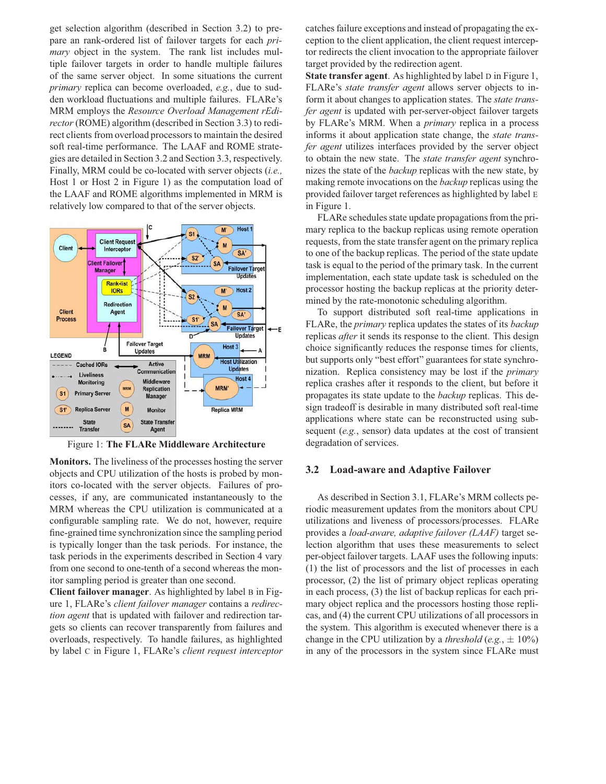get selection algorithm (described in Section 3.2) to prepare an rank-ordered list of failover targets for each *primary* object in the system. The rank list includes multiple failover targets in order to handle multiple failures of the same server object. In some situations the current *primary* replica can become overloaded, *e.g.*, due to sudden workload fluctuations and multiple failures. FLARe's MRM employs the *Resource Overload Management rEdirector* (ROME) algorithm (described in Section 3.3) to redirect clients from overload processors to maintain the desired soft real-time performance. The LAAF and ROME strategies are detailed in Section 3.2 and Section 3.3, respectively. Finally, MRM could be co-located with server objects (*i.e.,* Host 1 or Host 2 in Figure 1) as the computation load of the LAAF and ROME algorithms implemented in MRM is relatively low compared to that of the server objects.



Figure 1: **The FLARe Middleware Architecture**

**Monitors.** The liveliness of the processes hosting the server objects and CPU utilization of the hosts is probed by monitors co-located with the server objects. Failures of processes, if any, are communicated instantaneously to the MRM whereas the CPU utilization is communicated at a configurable sampling rate. We do not, however, require fine-grained time synchronization since the sampling period is typically longer than the task periods. For instance, the task periods in the experiments described in Section 4 vary from one second to one-tenth of a second whereas the monitor sampling period is greater than one second.

**Client failover manager**. As highlighted by label B in Figure 1, FLARe's *client failover manager* contains a *redirection agent* that is updated with failover and redirection targets so clients can recover transparently from failures and overloads, respectively. To handle failures, as highlighted by label C in Figure 1, FLARe's *client request interceptor* catches failure exceptions and instead of propagating the exception to the client application, the client request interceptor redirects the client invocation to the appropriate failover target provided by the redirection agent.

**State transfer agent**. As highlighted by label D in Figure 1, FLARe's *state transfer agent* allows server objects to inform it about changes to application states. The *state transfer agent* is updated with per-server-object failover targets by FLARe's MRM. When a *primary* replica in a process informs it about application state change, the *state transfer agent* utilizes interfaces provided by the server object to obtain the new state. The *state transfer agent* synchronizes the state of the *backup* replicas with the new state, by making remote invocations on the *backup* replicas using the provided failover target references as highlighted by label E in Figure 1.

FLARe schedules state update propagations from the primary replica to the backup replicas using remote operation requests, from the state transfer agent on the primary replica to one of the backup replicas. The period of the state update task is equal to the period of the primary task. In the current implementation, each state update task is scheduled on the processor hosting the backup replicas at the priority determined by the rate-monotonic scheduling algorithm.

To support distributed soft real-time applications in FLARe, the *primary* replica updates the states of its *backup* replicas *after* it sends its response to the client. This design choice significantly reduces the response times for clients, but supports only "best effort" guarantees for state synchronization. Replica consistency may be lost if the *primary* replica crashes after it responds to the client, but before it propagates its state update to the *backup* replicas. This design tradeoff is desirable in many distributed soft real-time applications where state can be reconstructed using subsequent (*e.g.*, sensor) data updates at the cost of transient degradation of services.

### **3.2 Load-aware and Adaptive Failover**

As described in Section 3.1, FLARe's MRM collects periodic measurement updates from the monitors about CPU utilizations and liveness of processors/processes. FLARe provides a *load-aware, adaptive failover (LAAF)* target selection algorithm that uses these measurements to select per-object failover targets. LAAF uses the following inputs: (1) the list of processors and the list of processes in each processor, (2) the list of primary object replicas operating in each process, (3) the list of backup replicas for each primary object replica and the processors hosting those replicas, and (4) the current CPU utilizations of all processors in the system. This algorithm is executed whenever there is a change in the CPU utilization by a *threshold* (*e.g.*,  $\pm$  10%) in any of the processors in the system since FLARe must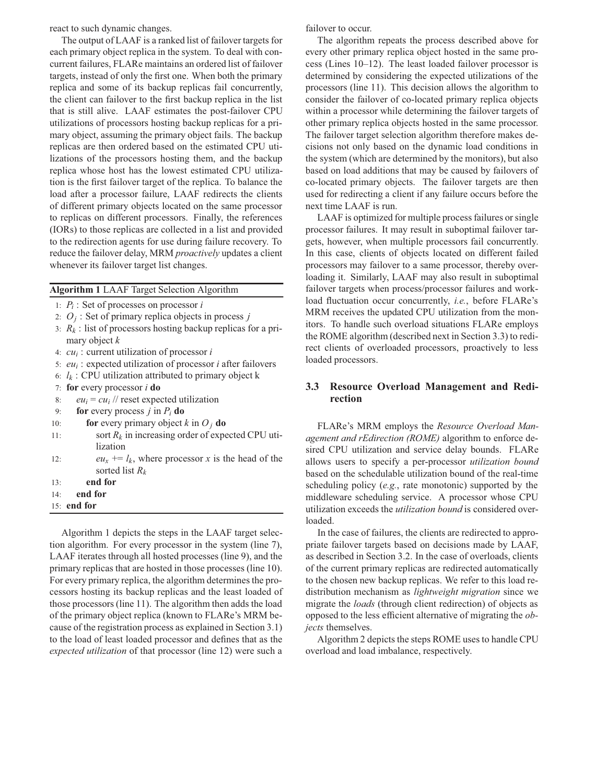react to such dynamic changes.

The output of LAAF is a ranked list of failover targets for each primary object replica in the system. To deal with concurrent failures, FLARe maintains an ordered list of failover targets, instead of only the first one. When both the primary replica and some of its backup replicas fail concurrently, the client can failover to the first backup replica in the list that is still alive. LAAF estimates the post-failover CPU utilizations of processors hosting backup replicas for a primary object, assuming the primary object fails. The backup replicas are then ordered based on the estimated CPU utilizations of the processors hosting them, and the backup replica whose host has the lowest estimated CPU utilization is the first failover target of the replica. To balance the load after a processor failure, LAAF redirects the clients of different primary objects located on the same processor to replicas on different processors. Finally, the references (IORs) to those replicas are collected in a list and provided to the redirection agents for use during failure recovery. To reduce the failover delay, MRM *proactively* updates a client whenever its failover target list changes.

**Algorithm 1** LAAF Target Selection Algorithm

- 1: *Pi* : Set of processes on processor *i*
- 2: *Oj* : Set of primary replica objects in process *j*
- 3: *Rk* : list of processors hosting backup replicas for a primary object *k*
- 4: *cui* : current utilization of processor *i*
- 5: *eui* : expected utilization of processor *i* after failovers
- 6:  $l_k$  : CPU utilization attributed to primary object k
- 7: **for** every processor *i* **do**
- 8:  $eu_i = cu_i$  // reset expected utilization
- 9: **for** every process *j* in *Pi* **do**
- 10: **for** every primary object  $k$  in  $O_i$  **do**
- 11: sort  $R_k$  in increasing order of expected CPU utilization
- 12:  $eu_x \neq -l_k$ , where processor *x* is the head of the sorted list *Rk*
- 13: **end for** 14: **end for**
- 15: **end for**

Algorithm 1 depicts the steps in the LAAF target selection algorithm. For every processor in the system (line 7), LAAF iterates through all hosted processes (line 9), and the primary replicas that are hosted in those processes (line 10). For every primary replica, the algorithm determines the processors hosting its backup replicas and the least loaded of those processors (line 11). The algorithm then adds the load of the primary object replica (known to FLARe's MRM because of the registration process as explained in Section 3.1) to the load of least loaded processor and defines that as the *expected utilization* of that processor (line 12) were such a

failover to occur.

The algorithm repeats the process described above for every other primary replica object hosted in the same process (Lines 10–12). The least loaded failover processor is determined by considering the expected utilizations of the processors (line 11). This decision allows the algorithm to consider the failover of co-located primary replica objects within a processor while determining the failover targets of other primary replica objects hosted in the same processor. The failover target selection algorithm therefore makes decisions not only based on the dynamic load conditions in the system (which are determined by the monitors), but also based on load additions that may be caused by failovers of co-located primary objects. The failover targets are then used for redirecting a client if any failure occurs before the next time LAAF is run.

LAAF is optimized for multiple process failures or single processor failures. It may result in suboptimal failover targets, however, when multiple processors fail concurrently. In this case, clients of objects located on different failed processors may failover to a same processor, thereby overloading it. Similarly, LAAF may also result in suboptimal failover targets when process/processor failures and workload fluctuation occur concurrently, *i.e.*, before FLARe's MRM receives the updated CPU utilization from the monitors. To handle such overload situations FLARe employs the ROME algorithm (described next in Section 3.3) to redirect clients of overloaded processors, proactively to less loaded processors.

### **3.3 Resource Overload Management and Redirection**

FLARe's MRM employs the *Resource Overload Management and rEdirection (ROME)* algorithm to enforce desired CPU utilization and service delay bounds. FLARe allows users to specify a per-processor *utilization bound* based on the schedulable utilization bound of the real-time scheduling policy (*e.g.*, rate monotonic) supported by the middleware scheduling service. A processor whose CPU utilization exceeds the *utilization bound* is considered overloaded.

In the case of failures, the clients are redirected to appropriate failover targets based on decisions made by LAAF, as described in Section 3.2. In the case of overloads, clients of the current primary replicas are redirected automatically to the chosen new backup replicas. We refer to this load redistribution mechanism as *lightweight migration* since we migrate the *loads* (through client redirection) of objects as opposed to the less efficient alternative of migrating the *objects* themselves.

Algorithm 2 depicts the steps ROME uses to handle CPU overload and load imbalance, respectively.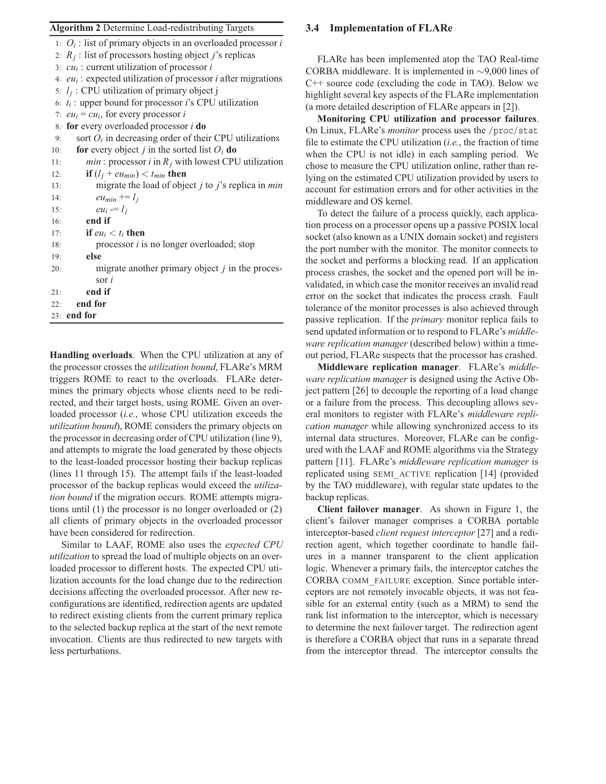#### **Algorithm 2** Determine Load-redistributing Targets

|     | 1: $O_i$ : list of primary objects in an overloaded processor i         |  |  |  |
|-----|-------------------------------------------------------------------------|--|--|--|
|     | 2: $R_i$ : list of processors hosting object <i>j</i> 's replicas       |  |  |  |
|     | 3: $cu_i$ : current utilization of processor i                          |  |  |  |
|     | 4: $eu_i$ : expected utilization of processor <i>i</i> after migrations |  |  |  |
|     | 5: $l_i$ : CPU utilization of primary object j                          |  |  |  |
|     | 6: $t_i$ : upper bound for processor <i>i</i> 's CPU utilization        |  |  |  |
|     | 7: $eu_i = cu_i$ , for every processor i                                |  |  |  |
| 8:  | for every overloaded processor <i>i</i> do                              |  |  |  |
| 9:  | sort $O_i$ in decreasing order of their CPU utilizations                |  |  |  |
| 10: | for every object j in the sorted list $O_i$ do                          |  |  |  |
| 11: | $min$ : processor i in $R_i$ with lowest CPU utilization                |  |  |  |
| 12: | if $(l_i + eu_{min}) < t_{min}$ then                                    |  |  |  |
| 13: | migrate the load of object $j$ to $j$ 's replica in <i>min</i>          |  |  |  |
| 14: | $eu_{min} == l_i$                                                       |  |  |  |
| 15: | $eu_i - l_i$                                                            |  |  |  |
| 16: | end if                                                                  |  |  |  |
| 17: | if $eu_i < t_i$ then                                                    |  |  |  |
| 18: | processor <i>i</i> is no longer overloaded; stop                        |  |  |  |
| 19: | else                                                                    |  |  |  |
| 20: | migrate another primary object $j$ in the proces-                       |  |  |  |
|     | sor $i$                                                                 |  |  |  |
| 21: | end if                                                                  |  |  |  |
| 22: | end for                                                                 |  |  |  |
|     | 23: end for                                                             |  |  |  |

**Handling overloads**. When the CPU utilization at any of the processor crosses the *utilization bound*, FLARe's MRM triggers ROME to react to the overloads. FLARe determines the primary objects whose clients need to be redirected, and their target hosts, using ROME. Given an overloaded processor (*i.e.*, whose CPU utilization exceeds the *utilization bound*), ROME considers the primary objects on the processor in decreasing order of CPU utilization (line 9), and attempts to migrate the load generated by those objects to the least-loaded processor hosting their backup replicas (lines 11 through 15). The attempt fails if the least-loaded processor of the backup replicas would exceed the *utilization bound* if the migration occurs. ROME attempts migrations until (1) the processor is no longer overloaded or (2) all clients of primary objects in the overloaded processor have been considered for redirection.

Similar to LAAF, ROME also uses the *expected CPU utilization* to spread the load of multiple objects on an overloaded processor to different hosts. The expected CPU utilization accounts for the load change due to the redirection decisions affecting the overloaded processor. After new reconfigurations are identified, redirection agents are updated to redirect existing clients from the current primary replica to the selected backup replica at the start of the next remote invocation. Clients are thus redirected to new targets with less perturbations.

#### **3.4 Implementation of FLARe**

FLARe has been implemented atop the TAO Real-time CORBA middleware. It is implemented in ∼9,000 lines of C++ source code (excluding the code in TAO). Below we highlight several key aspects of the FLARe implementation (a more detailed description of FLARe appears in [2]).

**Monitoring CPU utilization and processor failures**. On Linux, FLARe's *monitor* process uses the /proc/stat file to estimate the CPU utilization (*i.e.*, the fraction of time when the CPU is not idle) in each sampling period. We chose to measure the CPU utilization online, rather than relying on the estimated CPU utilization provided by users to account for estimation errors and for other activities in the middleware and OS kernel.

To detect the failure of a process quickly, each application process on a processor opens up a passive POSIX local socket (also known as a UNIX domain socket) and registers the port number with the monitor. The monitor connects to the socket and performs a blocking read. If an application process crashes, the socket and the opened port will be invalidated, in which case the monitor receives an invalid read error on the socket that indicates the process crash. Fault tolerance of the monitor processes is also achieved through passive replication. If the *primary* monitor replica fails to send updated information or to respond to FLARe's *middleware replication manager* (described below) within a timeout period, FLARe suspects that the processor has crashed.

**Middleware replication manager**. FLARe's *middleware replication manager* is designed using the Active Object pattern [26] to decouple the reporting of a load change or a failure from the process. This decoupling allows several monitors to register with FLARe's *middleware replication manager* while allowing synchronized access to its internal data structures. Moreover, FLARe can be configured with the LAAF and ROME algorithms via the Strategy pattern [11]. FLARe's *middleware replication manager* is replicated using SEMI\_ACTIVE replication [14] (provided by the TAO middleware), with regular state updates to the backup replicas.

**Client failover manager**. As shown in Figure 1, the client's failover manager comprises a CORBA portable interceptor-based *client request interceptor* [27] and a redirection agent, which together coordinate to handle failures in a manner transparent to the client application logic. Whenever a primary fails, the interceptor catches the CORBA COMM\_FAILURE exception. Since portable interceptors are not remotely invocable objects, it was not feasible for an external entity (such as a MRM) to send the rank list information to the interceptor, which is necessary to determine the next failover target. The redirection agent is therefore a CORBA object that runs in a separate thread from the interceptor thread. The interceptor consults the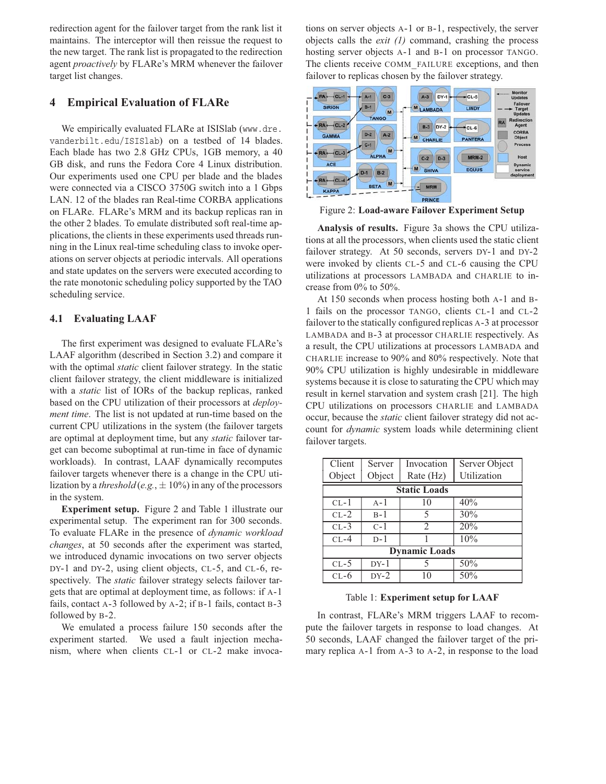redirection agent for the failover target from the rank list it maintains. The interceptor will then reissue the request to the new target. The rank list is propagated to the redirection agent *proactively* by FLARe's MRM whenever the failover target list changes.

# **4 Empirical Evaluation of FLARe**

We empirically evaluated FLARe at ISISlab (www.dre. vanderbilt.edu/ISISlab) on a testbed of 14 blades. Each blade has two 2.8 GHz CPUs, 1GB memory, a 40 GB disk, and runs the Fedora Core 4 Linux distribution. Our experiments used one CPU per blade and the blades were connected via a CISCO 3750G switch into a 1 Gbps LAN. 12 of the blades ran Real-time CORBA applications on FLARe. FLARe's MRM and its backup replicas ran in the other 2 blades. To emulate distributed soft real-time applications, the clients in these experiments used threads running in the Linux real-time scheduling class to invoke operations on server objects at periodic intervals. All operations and state updates on the servers were executed according to the rate monotonic scheduling policy supported by the TAO scheduling service.

### **4.1 Evaluating LAAF**

The first experiment was designed to evaluate FLARe's LAAF algorithm (described in Section 3.2) and compare it with the optimal *static* client failover strategy. In the static client failover strategy, the client middleware is initialized with a *static* list of IORs of the backup replicas, ranked based on the CPU utilization of their processors at *deployment time*. The list is not updated at run-time based on the current CPU utilizations in the system (the failover targets are optimal at deployment time, but any *static* failover target can become suboptimal at run-time in face of dynamic workloads). In contrast, LAAF dynamically recomputes failover targets whenever there is a change in the CPU utilization by a *threshold* (*e.g.*,  $\pm$  10%) in any of the processors in the system.

**Experiment setup.** Figure 2 and Table 1 illustrate our experimental setup. The experiment ran for 300 seconds. To evaluate FLARe in the presence of *dynamic workload changes*, at 50 seconds after the experiment was started, we introduced dynamic invocations on two server objects DY-1 and DY-2, using client objects, CL-5, and CL-6, respectively. The *static* failover strategy selects failover targets that are optimal at deployment time, as follows: if A-1 fails, contact A-3 followed by A-2; if B-1 fails, contact B-3 followed by B-2.

We emulated a process failure 150 seconds after the experiment started. We used a fault injection mechanism, where when clients CL-1 or CL-2 make invocations on server objects A-1 or B-1, respectively, the server objects calls the *exit (1)* command, crashing the process hosting server objects A-1 and B-1 on processor TANGO. The clients receive COMM\_FAILURE exceptions, and then failover to replicas chosen by the failover strategy.



Figure 2: **Load-aware Failover Experiment Setup**

**Analysis of results.** Figure 3a shows the CPU utilizations at all the processors, when clients used the static client failover strategy. At 50 seconds, servers DY-1 and DY-2 were invoked by clients CL-5 and CL-6 causing the CPU utilizations at processors LAMBADA and CHARLIE to increase from 0% to 50%.

At 150 seconds when process hosting both A-1 and B-1 fails on the processor TANGO, clients CL-1 and CL-2 failover to the statically configured replicas A-3 at processor LAMBADA and B-3 at processor CHARLIE respectively. As a result, the CPU utilizations at processors LAMBADA and CHARLIE increase to 90% and 80% respectively. Note that 90% CPU utilization is highly undesirable in middleware systems because it is close to saturating the CPU which may result in kernel starvation and system crash [21]. The high CPU utilizations on processors CHARLIE and LAMBADA occur, because the *static* client failover strategy did not account for *dynamic* system loads while determining client failover targets.

| Client               | Server | Invocation                  | Server Object |  |  |  |
|----------------------|--------|-----------------------------|---------------|--|--|--|
| Object               | Object | Rate (Hz)                   | Utilization   |  |  |  |
| <b>Static Loads</b>  |        |                             |               |  |  |  |
| $CL-1$               | $A-1$  | 10                          | 40%           |  |  |  |
| $CL-2$               | $B-1$  | 5                           | 30%           |  |  |  |
| $CL-3$               | $C-1$  | $\mathcal{D}_{\mathcal{L}}$ | 20%           |  |  |  |
| $CL-4$               | $D-1$  |                             | 10%           |  |  |  |
| <b>Dynamic Loads</b> |        |                             |               |  |  |  |
| $CL-5$               | $DY-1$ |                             | 50%           |  |  |  |
| $CL-6$               | $DY-2$ |                             | 50%           |  |  |  |

Table 1: **Experiment setup for LAAF**

In contrast, FLARe's MRM triggers LAAF to recompute the failover targets in response to load changes. At 50 seconds, LAAF changed the failover target of the primary replica A-1 from A-3 to A-2, in response to the load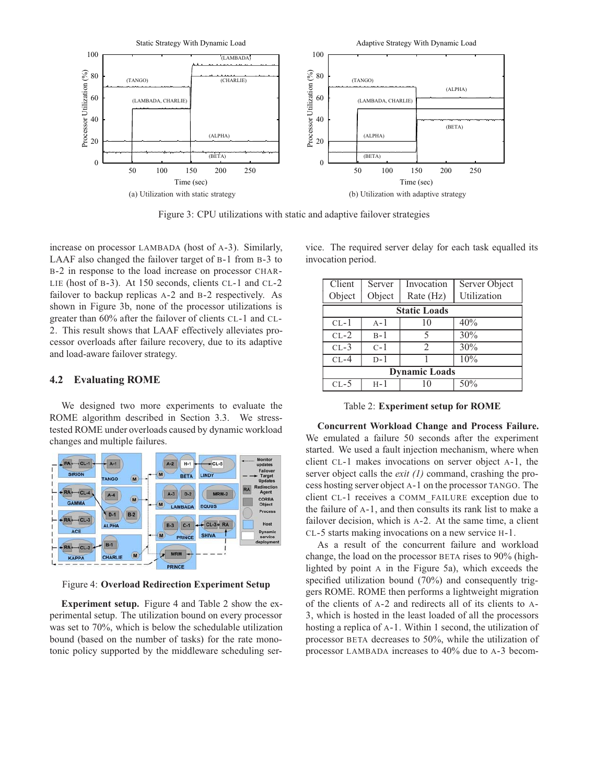

Figure 3: CPU utilizations with static and adaptive failover strategies

increase on processor LAMBADA (host of A-3). Similarly, LAAF also changed the failover target of B-1 from B-3 to B-2 in response to the load increase on processor CHAR-LIE (host of B-3). At 150 seconds, clients CL-1 and CL-2 failover to backup replicas A-2 and B-2 respectively. As shown in Figure 3b, none of the processor utilizations is greater than 60% after the failover of clients CL-1 and CL-2. This result shows that LAAF effectively alleviates processor overloads after failure recovery, due to its adaptive and load-aware failover strategy.

#### **4.2 Evaluating ROME**

We designed two more experiments to evaluate the ROME algorithm described in Section 3.3. We stresstested ROME under overloads caused by dynamic workload changes and multiple failures.



Figure 4: **Overload Redirection Experiment Setup**

**Experiment setup.** Figure 4 and Table 2 show the experimental setup. The utilization bound on every processor was set to 70%, which is below the schedulable utilization bound (based on the number of tasks) for the rate monotonic policy supported by the middleware scheduling ser-

vice. The required server delay for each task equalled its invocation period.

| Client               | Server | Invocation     | Server Object |  |  |  |
|----------------------|--------|----------------|---------------|--|--|--|
| Object               | Object | Rate (Hz)      | Utilization   |  |  |  |
| <b>Static Loads</b>  |        |                |               |  |  |  |
| $CL-1$               | $A-1$  | 10             | 40%           |  |  |  |
| $CL-2$               | $B-1$  | 5              | 30%           |  |  |  |
| $CL-3$               | $C-1$  | $\mathfrak{D}$ | 30%           |  |  |  |
| $CL-4$               | $D-1$  |                | 10%           |  |  |  |
| <b>Dynamic Loads</b> |        |                |               |  |  |  |
| $CL-5$               | $H-1$  | 10             | 50%           |  |  |  |

Table 2: **Experiment setup for ROME**

**Concurrent Workload Change and Process Failure.** We emulated a failure 50 seconds after the experiment started. We used a fault injection mechanism, where when client CL-1 makes invocations on server object A-1, the server object calls the *exit (1)* command, crashing the process hosting server object A-1 on the processor TANGO. The client CL-1 receives a COMM\_FAILURE exception due to the failure of A-1, and then consults its rank list to make a failover decision, which is A-2. At the same time, a client CL-5 starts making invocations on a new service H-1.

As a result of the concurrent failure and workload change, the load on the processor BETA rises to 90% (highlighted by point A in the Figure 5a), which exceeds the specified utilization bound (70%) and consequently triggers ROME. ROME then performs a lightweight migration of the clients of A-2 and redirects all of its clients to A-3, which is hosted in the least loaded of all the processors hosting a replica of A-1. Within 1 second, the utilization of processor BETA decreases to 50%, while the utilization of processor LAMBADA increases to 40% due to A-3 becom-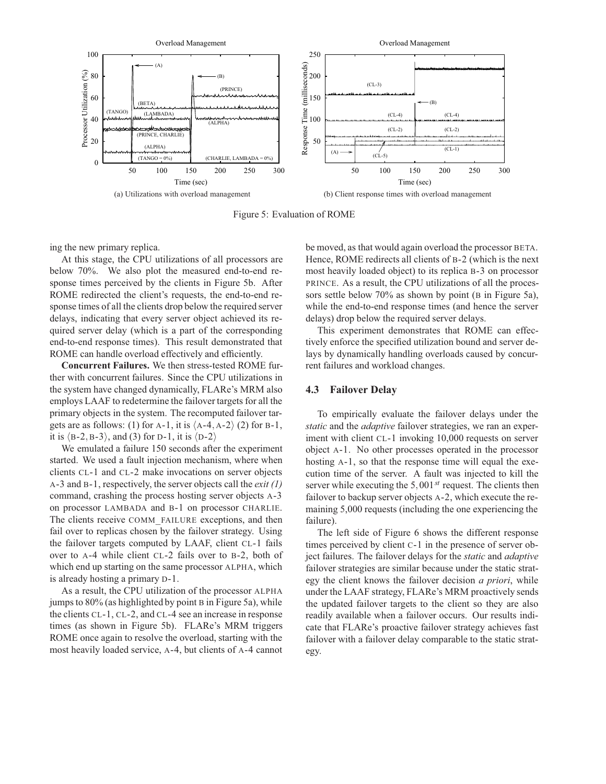

Figure 5: Evaluation of ROME

ing the new primary replica.

At this stage, the CPU utilizations of all processors are below 70%. We also plot the measured end-to-end response times perceived by the clients in Figure 5b. After ROME redirected the client's requests, the end-to-end response times of all the clients drop below the required server delays, indicating that every server object achieved its required server delay (which is a part of the corresponding end-to-end response times). This result demonstrated that ROME can handle overload effectively and efficiently.

**Concurrent Failures.** We then stress-tested ROME further with concurrent failures. Since the CPU utilizations in the system have changed dynamically, FLARe's MRM also employs LAAF to redetermine the failover targets for all the primary objects in the system. The recomputed failover targets are as follows: (1) for A-1, it is  $\langle A-4, A-2 \rangle$  (2) for B-1, it is  $\langle B-2,B-3 \rangle$ , and (3) for D-1, it is  $\langle D-2 \rangle$ 

We emulated a failure 150 seconds after the experiment started. We used a fault injection mechanism, where when clients CL-1 and CL-2 make invocations on server objects A-3 and B-1, respectively, the server objects call the *exit (1)* command, crashing the process hosting server objects A-3 on processor LAMBADA and B-1 on processor CHARLIE. The clients receive COMM\_FAILURE exceptions, and then fail over to replicas chosen by the failover strategy. Using the failover targets computed by LAAF, client CL-1 fails over to A-4 while client CL-2 fails over to B-2, both of which end up starting on the same processor ALPHA, which is already hosting a primary D-1.

As a result, the CPU utilization of the processor ALPHA jumps to 80% (as highlighted by point B in Figure 5a), while the clients CL-1, CL-2, and CL-4 see an increase in response times (as shown in Figure 5b). FLARe's MRM triggers ROME once again to resolve the overload, starting with the most heavily loaded service, A-4, but clients of A-4 cannot

be moved, as that would again overload the processor BETA. Hence, ROME redirects all clients of B-2 (which is the next most heavily loaded object) to its replica B-3 on processor PRINCE. As a result, the CPU utilizations of all the processors settle below 70% as shown by point (B in Figure 5a), while the end-to-end response times (and hence the server delays) drop below the required server delays.

This experiment demonstrates that ROME can effectively enforce the specified utilization bound and server delays by dynamically handling overloads caused by concurrent failures and workload changes.

### **4.3 Failover Delay**

To empirically evaluate the failover delays under the *static* and the *adaptive* failover strategies, we ran an experiment with client CL-1 invoking 10,000 requests on server object A-1. No other processes operated in the processor hosting A-1, so that the response time will equal the execution time of the server. A fault was injected to kill the server while executing the 5,001*st* request. The clients then failover to backup server objects A-2, which execute the remaining 5,000 requests (including the one experiencing the failure).

The left side of Figure 6 shows the different response times perceived by client C-1 in the presence of server object failures. The failover delays for the *static* and *adaptive* failover strategies are similar because under the static strategy the client knows the failover decision *a priori*, while under the LAAF strategy, FLARe's MRM proactively sends the updated failover targets to the client so they are also readily available when a failover occurs. Our results indicate that FLARe's proactive failover strategy achieves fast failover with a failover delay comparable to the static strategy.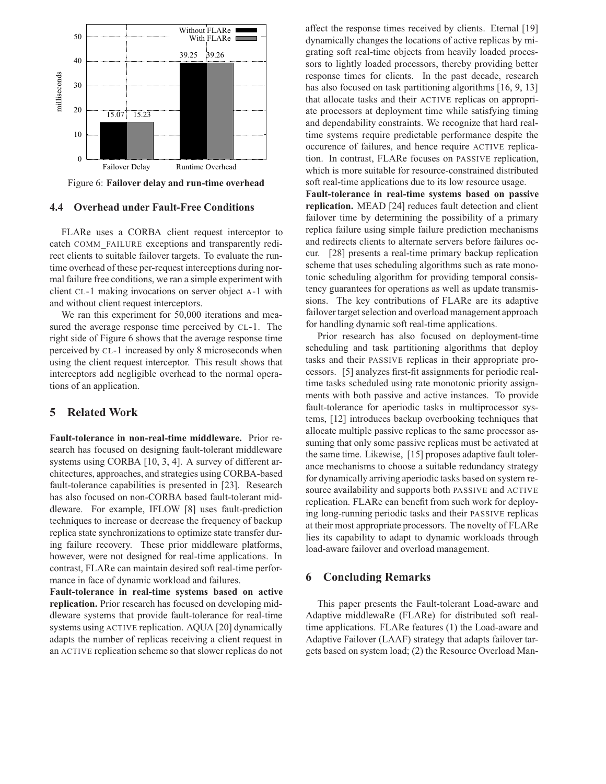

Figure 6: **Failover delay and run-time overhead**

# **4.4 Overhead under Fault-Free Conditions**

FLARe uses a CORBA client request interceptor to catch COMM\_FAILURE exceptions and transparently redirect clients to suitable failover targets. To evaluate the runtime overhead of these per-request interceptions during normal failure free conditions, we ran a simple experiment with client CL-1 making invocations on server object A-1 with and without client request interceptors.

We ran this experiment for 50,000 iterations and measured the average response time perceived by CL-1. The right side of Figure 6 shows that the average response time perceived by CL-1 increased by only 8 microseconds when using the client request interceptor. This result shows that interceptors add negligible overhead to the normal operations of an application.

# **5 Related Work**

**Fault-tolerance in non-real-time middleware.** Prior research has focused on designing fault-tolerant middleware systems using CORBA [10, 3, 4]. A survey of different architectures, approaches, and strategies using CORBA-based fault-tolerance capabilities is presented in [23]. Research has also focused on non-CORBA based fault-tolerant middleware. For example, IFLOW [8] uses fault-prediction techniques to increase or decrease the frequency of backup replica state synchronizations to optimize state transfer during failure recovery. These prior middleware platforms, however, were not designed for real-time applications. In contrast, FLARe can maintain desired soft real-time performance in face of dynamic workload and failures.

**Fault-tolerance in real-time systems based on active replication.** Prior research has focused on developing middleware systems that provide fault-tolerance for real-time systems using ACTIVE replication. AQUA [20] dynamically adapts the number of replicas receiving a client request in an ACTIVE replication scheme so that slower replicas do not

affect the response times received by clients. Eternal [19] dynamically changes the locations of active replicas by migrating soft real-time objects from heavily loaded processors to lightly loaded processors, thereby providing better response times for clients. In the past decade, research has also focused on task partitioning algorithms [16, 9, 13] that allocate tasks and their ACTIVE replicas on appropriate processors at deployment time while satisfying timing and dependability constraints. We recognize that hard realtime systems require predictable performance despite the occurence of failures, and hence require ACTIVE replication. In contrast, FLARe focuses on PASSIVE replication, which is more suitable for resource-constrained distributed soft real-time applications due to its low resource usage.

**Fault-tolerance in real-time systems based on passive replication.** MEAD [24] reduces fault detection and client failover time by determining the possibility of a primary replica failure using simple failure prediction mechanisms and redirects clients to alternate servers before failures occur. [28] presents a real-time primary backup replication scheme that uses scheduling algorithms such as rate monotonic scheduling algorithm for providing temporal consistency guarantees for operations as well as update transmissions. The key contributions of FLARe are its adaptive failover target selection and overload management approach for handling dynamic soft real-time applications.

Prior research has also focused on deployment-time scheduling and task partitioning algorithms that deploy tasks and their PASSIVE replicas in their appropriate processors. [5] analyzes first-fit assignments for periodic realtime tasks scheduled using rate monotonic priority assignments with both passive and active instances. To provide fault-tolerance for aperiodic tasks in multiprocessor systems, [12] introduces backup overbooking techniques that allocate multiple passive replicas to the same processor assuming that only some passive replicas must be activated at the same time. Likewise, [15] proposes adaptive fault tolerance mechanisms to choose a suitable redundancy strategy for dynamically arriving aperiodic tasks based on system resource availability and supports both PASSIVE and ACTIVE replication. FLARe can benefit from such work for deploying long-running periodic tasks and their PASSIVE replicas at their most appropriate processors. The novelty of FLARe lies its capability to adapt to dynamic workloads through load-aware failover and overload management.

# **6 Concluding Remarks**

This paper presents the Fault-tolerant Load-aware and Adaptive middlewaRe (FLARe) for distributed soft realtime applications. FLARe features (1) the Load-aware and Adaptive Failover (LAAF) strategy that adapts failover targets based on system load; (2) the Resource Overload Man-